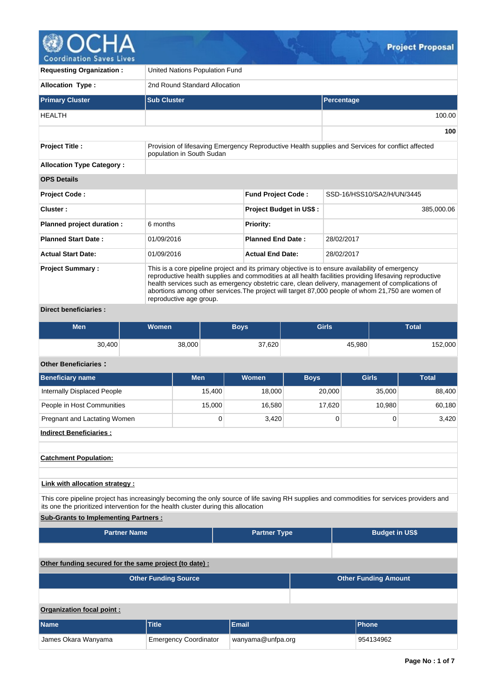

| <b>Requesting Organization:</b>  | United Nations Population Fund                                                                                                                                                                                                                                                                                                                                                                                                                  |                                |                            |  |  |  |  |  |  |  |
|----------------------------------|-------------------------------------------------------------------------------------------------------------------------------------------------------------------------------------------------------------------------------------------------------------------------------------------------------------------------------------------------------------------------------------------------------------------------------------------------|--------------------------------|----------------------------|--|--|--|--|--|--|--|
| <b>Allocation Type:</b>          |                                                                                                                                                                                                                                                                                                                                                                                                                                                 | 2nd Round Standard Allocation  |                            |  |  |  |  |  |  |  |
| <b>Primary Cluster</b>           | <b>Sub Cluster</b>                                                                                                                                                                                                                                                                                                                                                                                                                              |                                | Percentage                 |  |  |  |  |  |  |  |
| <b>HEALTH</b>                    |                                                                                                                                                                                                                                                                                                                                                                                                                                                 |                                | 100.00                     |  |  |  |  |  |  |  |
|                                  |                                                                                                                                                                                                                                                                                                                                                                                                                                                 |                                | 100                        |  |  |  |  |  |  |  |
| <b>Project Title:</b>            | Provision of lifesaving Emergency Reproductive Health supplies and Services for conflict affected<br>population in South Sudan                                                                                                                                                                                                                                                                                                                  |                                |                            |  |  |  |  |  |  |  |
| <b>Allocation Type Category:</b> |                                                                                                                                                                                                                                                                                                                                                                                                                                                 |                                |                            |  |  |  |  |  |  |  |
| <b>OPS Details</b>               |                                                                                                                                                                                                                                                                                                                                                                                                                                                 |                                |                            |  |  |  |  |  |  |  |
| <b>Project Code:</b>             |                                                                                                                                                                                                                                                                                                                                                                                                                                                 | <b>Fund Project Code:</b>      | SSD-16/HSS10/SA2/H/UN/3445 |  |  |  |  |  |  |  |
| Cluster:                         |                                                                                                                                                                                                                                                                                                                                                                                                                                                 | <b>Project Budget in US\$:</b> | 385,000.06                 |  |  |  |  |  |  |  |
| Planned project duration :       | 6 months                                                                                                                                                                                                                                                                                                                                                                                                                                        | <b>Priority:</b>               |                            |  |  |  |  |  |  |  |
| <b>Planned Start Date:</b>       | 01/09/2016                                                                                                                                                                                                                                                                                                                                                                                                                                      | <b>Planned End Date:</b>       | 28/02/2017                 |  |  |  |  |  |  |  |
| <b>Actual Start Date:</b>        | 01/09/2016                                                                                                                                                                                                                                                                                                                                                                                                                                      | <b>Actual End Date:</b>        | 28/02/2017                 |  |  |  |  |  |  |  |
| <b>Project Summary:</b>          | This is a core pipeline project and its primary objective is to ensure availability of emergency<br>reproductive health supplies and commodities at all health facilities providing lifesaving reproductive<br>health services such as emergency obstetric care, clean delivery, management of complications of<br>abortions among other services. The project will target 87,000 people of whom 21,750 are women of<br>reproductive age group. |                                |                            |  |  |  |  |  |  |  |
| <b>Direct beneficiaries:</b>     |                                                                                                                                                                                                                                                                                                                                                                                                                                                 |                                |                            |  |  |  |  |  |  |  |

| Men    | <b>Women</b> | <b>Boys</b> | <b>Girls</b> | Total   |
|--------|--------------|-------------|--------------|---------|
| 30,400 | 38,000       | 37,620      | 45,980       | 152,000 |

# **Other Beneficiaries :**

| <b>Beneficiary name</b>                                                                                                                                                                                                          | <b>Men</b>                  | Women               | <b>Boys</b> | <b>Girls</b>          | <b>Total</b> |  |  |  |
|----------------------------------------------------------------------------------------------------------------------------------------------------------------------------------------------------------------------------------|-----------------------------|---------------------|-------------|-----------------------|--------------|--|--|--|
| Internally Displaced People                                                                                                                                                                                                      | 15,400                      | 18,000              | 20,000      | 35,000                | 88,400       |  |  |  |
| People in Host Communities                                                                                                                                                                                                       | 15,000                      | 16,580              | 17,620      | 10,980                | 60,180       |  |  |  |
| Pregnant and Lactating Women                                                                                                                                                                                                     | $\mathbf 0$                 | 3,420               | $\mathbf 0$ | 0                     | 3,420        |  |  |  |
| <b>Indirect Beneficiaries:</b>                                                                                                                                                                                                   |                             |                     |             |                       |              |  |  |  |
| <b>Catchment Population:</b>                                                                                                                                                                                                     |                             |                     |             |                       |              |  |  |  |
| Link with allocation strategy :                                                                                                                                                                                                  |                             |                     |             |                       |              |  |  |  |
| This core pipeline project has increasingly becoming the only source of life saving RH supplies and commodities for services providers and<br>its one the prioritized intervention for the health cluster during this allocation |                             |                     |             |                       |              |  |  |  |
| <b>Sub-Grants to Implementing Partners:</b>                                                                                                                                                                                      |                             |                     |             |                       |              |  |  |  |
| <b>Partner Name</b>                                                                                                                                                                                                              |                             | <b>Partner Type</b> |             | <b>Budget in US\$</b> |              |  |  |  |
|                                                                                                                                                                                                                                  |                             |                     |             |                       |              |  |  |  |
| Other funding secured for the same project (to date) :                                                                                                                                                                           |                             |                     |             |                       |              |  |  |  |
| <b>Other Funding Source</b>                                                                                                                                                                                                      | <b>Other Funding Amount</b> |                     |             |                       |              |  |  |  |

## **Organization focal point :**

| <b>Name</b>         | <b>Title</b>                 | <b>Email</b>      | <b>Phone</b> |
|---------------------|------------------------------|-------------------|--------------|
| James Okara Wanyama | <b>Emergency Coordinator</b> | wanyama@unfpa.org | 954134962    |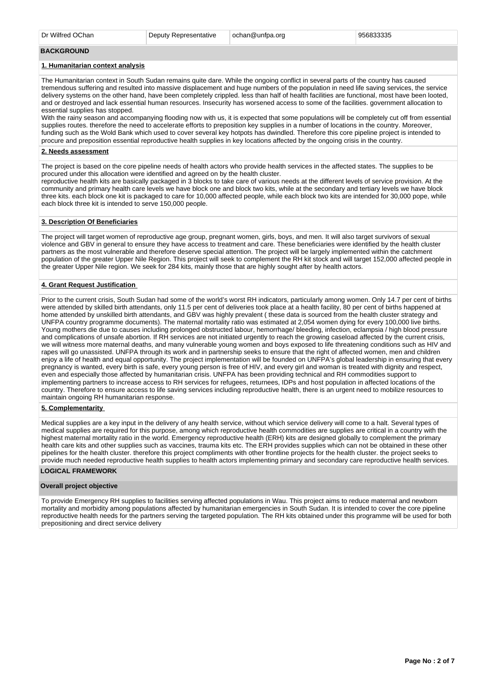#### **BACKGROUND**

### **1. Humanitarian context analysis**

The Humanitarian context in South Sudan remains quite dare. While the ongoing conflict in several parts of the country has caused tremendous suffering and resulted into massive displacement and huge numbers of the population in need life saving services, the service delivery systems on the other hand, have been completely crippled. less than half of health facilities are functional, most have been looted, and or destroyed and lack essential human resources. Insecurity has worsened access to some of the facilities. government allocation to essential supplies has stopped.

With the rainy season and accompanying flooding now with us, it is expected that some populations will be completely cut off from essential supplies routes. therefore the need to accelerate efforts to preposition key supplies in a number of locations in the country. Moreover, funding such as the Wold Bank which used to cover several key hotpots has dwindled. Therefore this core pipeline project is intended to procure and preposition essential reproductive health supplies in key locations affected by the ongoing crisis in the country.

## **2. Needs assessment**

The project is based on the core pipeline needs of health actors who provide health services in the affected states. The supplies to be procured under this allocation were identified and agreed on by the health cluster.

reproductive health kits are basically packaged in 3 blocks to take care of various needs at the different levels of service provision. At the community and primary health care levels we have block one and block two kits, while at the secondary and tertiary levels we have block three kits. each block one kit is packaged to care for 10,000 affected people, while each block two kits are intended for 30,000 pope, while each block three kit is intended to serve 150,000 people.

### **3. Description Of Beneficiaries**

The project will target women of reproductive age group, pregnant women, girls, boys, and men. It will also target survivors of sexual violence and GBV in general to ensure they have access to treatment and care. These beneficiaries were identified by the health cluster partners as the most vulnerable and therefore deserve special attention. The project will be largely implemented within the catchment population of the greater Upper Nile Region. This project will seek to complement the RH kit stock and will target 152,000 affected people in the greater Upper Nile region. We seek for 284 kits, mainly those that are highly sought after by health actors.

#### **4. Grant Request Justification**

Prior to the current crisis, South Sudan had some of the world's worst RH indicators, particularly among women. Only 14.7 per cent of births were attended by skilled birth attendants, only 11.5 per cent of deliveries took place at a health facility, 80 per cent of births happened at home attended by unskilled birth attendants, and GBV was highly prevalent ( these data is sourced from the health cluster strategy and UNFPA country programme documents). The maternal mortality ratio was estimated at 2,054 women dying for every 100,000 live births. Young mothers die due to causes including prolonged obstructed labour, hemorrhage/ bleeding, infection, eclampsia / high blood pressure and complications of unsafe abortion. If RH services are not initiated urgently to reach the growing caseload affected by the current crisis, we will witness more maternal deaths, and many vulnerable young women and boys exposed to life threatening conditions such as HIV and rapes will go unassisted. UNFPA through its work and in partnership seeks to ensure that the right of affected women, men and children enjoy a life of health and equal opportunity. The project implementation will be founded on UNFPA's global leadership in ensuring that every pregnancy is wanted, every birth is safe, every young person is free of HIV, and every girl and woman is treated with dignity and respect, even and especially those affected by humanitarian crisis. UNFPA has been providing technical and RH commodities support to implementing partners to increase access to RH services for refugees, returnees, IDPs and host population in affected locations of the country. Therefore to ensure access to life saving services including reproductive health, there is an urgent need to mobilize resources to maintain ongoing RH humanitarian response.

### **5. Complementarity**

Medical supplies are a key input in the delivery of any health service, without which service delivery will come to a halt. Several types of medical supplies are required for this purpose, among which reproductive health commodities are supplies are critical in a country with the highest maternal mortality ratio in the world. Emergency reproductive health (ERH) kits are designed globally to complement the primary health care kits and other supplies such as vaccines, trauma kits etc. The ERH provides supplies which can not be obtained in these other pipelines for the health cluster. therefore this project compliments with other frontline projects for the health cluster. the project seeks to provide much needed reproductive health supplies to health actors implementing primary and secondary care reproductive health services.

## **LOGICAL FRAMEWORK**

### **Overall project objective**

To provide Emergency RH supplies to facilities serving affected populations in Wau. This project aims to reduce maternal and newborn mortality and morbidity among populations affected by humanitarian emergencies in South Sudan. It is intended to cover the core pipeline reproductive health needs for the partners serving the targeted population. The RH kits obtained under this programme will be used for both prepositioning and direct service delivery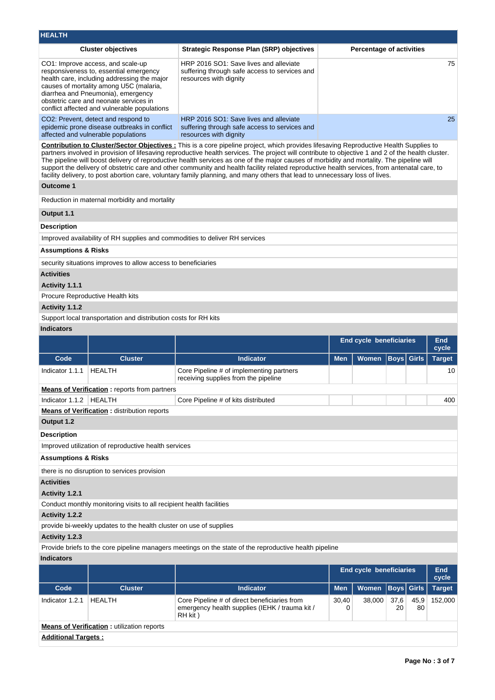| <b>HEALTH</b>                                                                                                                                                                                                                                                                                                                                                                                                              |                                                                                                                            |                                                                                                                                                                                                                                                                                                                                                                                                                                                                                                                                                                                                                                                                                                                                 |            |                                 |                   |            |                     |
|----------------------------------------------------------------------------------------------------------------------------------------------------------------------------------------------------------------------------------------------------------------------------------------------------------------------------------------------------------------------------------------------------------------------------|----------------------------------------------------------------------------------------------------------------------------|---------------------------------------------------------------------------------------------------------------------------------------------------------------------------------------------------------------------------------------------------------------------------------------------------------------------------------------------------------------------------------------------------------------------------------------------------------------------------------------------------------------------------------------------------------------------------------------------------------------------------------------------------------------------------------------------------------------------------------|------------|---------------------------------|-------------------|------------|---------------------|
|                                                                                                                                                                                                                                                                                                                                                                                                                            | <b>Cluster objectives</b>                                                                                                  | <b>Strategic Response Plan (SRP) objectives</b>                                                                                                                                                                                                                                                                                                                                                                                                                                                                                                                                                                                                                                                                                 |            | <b>Percentage of activities</b> |                   |            |                     |
| HRP 2016 SO1: Save lives and alleviate<br>CO1: Improve access, and scale-up<br>responsiveness to, essential emergency<br>suffering through safe access to services and<br>resources with dignity<br>health care, including addressing the major<br>causes of mortality among U5C (malaria,<br>diarrhea and Pneumonia), emergency<br>obstetric care and neonate services in<br>conflict affected and vulnerable populations |                                                                                                                            |                                                                                                                                                                                                                                                                                                                                                                                                                                                                                                                                                                                                                                                                                                                                 |            |                                 |                   |            |                     |
|                                                                                                                                                                                                                                                                                                                                                                                                                            | CO2: Prevent, detect and respond to<br>epidemic prone disease outbreaks in conflict<br>affected and vulnerable populations | HRP 2016 SO1: Save lives and alleviate<br>suffering through safe access to services and<br>resources with dignity                                                                                                                                                                                                                                                                                                                                                                                                                                                                                                                                                                                                               |            |                                 |                   |            | 25                  |
|                                                                                                                                                                                                                                                                                                                                                                                                                            |                                                                                                                            | <b>Contribution to Cluster/Sector Objectives:</b> This is a core pipeline project, which provides lifesaving Reproductive Health Supplies to<br>partners involved in provision of lifesaving reproductive health services. The project will contribute to objective 1 and 2 of the health cluster.<br>The pipeline will boost delivery of reproductive health services as one of the major causes of morbidity and mortality. The pipeline will<br>support the delivery of obstetric care and other community and health facility related reproductive health services, from antenatal care, to<br>facility delivery, to post abortion care, voluntary family planning, and many others that lead to unnecessary loss of lives. |            |                                 |                   |            |                     |
| <b>Outcome 1</b>                                                                                                                                                                                                                                                                                                                                                                                                           |                                                                                                                            |                                                                                                                                                                                                                                                                                                                                                                                                                                                                                                                                                                                                                                                                                                                                 |            |                                 |                   |            |                     |
|                                                                                                                                                                                                                                                                                                                                                                                                                            | Reduction in maternal morbidity and mortality                                                                              |                                                                                                                                                                                                                                                                                                                                                                                                                                                                                                                                                                                                                                                                                                                                 |            |                                 |                   |            |                     |
| Output 1.1                                                                                                                                                                                                                                                                                                                                                                                                                 |                                                                                                                            |                                                                                                                                                                                                                                                                                                                                                                                                                                                                                                                                                                                                                                                                                                                                 |            |                                 |                   |            |                     |
| <b>Description</b>                                                                                                                                                                                                                                                                                                                                                                                                         |                                                                                                                            |                                                                                                                                                                                                                                                                                                                                                                                                                                                                                                                                                                                                                                                                                                                                 |            |                                 |                   |            |                     |
|                                                                                                                                                                                                                                                                                                                                                                                                                            |                                                                                                                            | Improved availability of RH supplies and commodities to deliver RH services                                                                                                                                                                                                                                                                                                                                                                                                                                                                                                                                                                                                                                                     |            |                                 |                   |            |                     |
| <b>Assumptions &amp; Risks</b>                                                                                                                                                                                                                                                                                                                                                                                             |                                                                                                                            |                                                                                                                                                                                                                                                                                                                                                                                                                                                                                                                                                                                                                                                                                                                                 |            |                                 |                   |            |                     |
|                                                                                                                                                                                                                                                                                                                                                                                                                            | security situations improves to allow access to beneficiaries                                                              |                                                                                                                                                                                                                                                                                                                                                                                                                                                                                                                                                                                                                                                                                                                                 |            |                                 |                   |            |                     |
| <b>Activities</b>                                                                                                                                                                                                                                                                                                                                                                                                          |                                                                                                                            |                                                                                                                                                                                                                                                                                                                                                                                                                                                                                                                                                                                                                                                                                                                                 |            |                                 |                   |            |                     |
| Activity 1.1.1                                                                                                                                                                                                                                                                                                                                                                                                             |                                                                                                                            |                                                                                                                                                                                                                                                                                                                                                                                                                                                                                                                                                                                                                                                                                                                                 |            |                                 |                   |            |                     |
|                                                                                                                                                                                                                                                                                                                                                                                                                            | Procure Reproductive Health kits                                                                                           |                                                                                                                                                                                                                                                                                                                                                                                                                                                                                                                                                                                                                                                                                                                                 |            |                                 |                   |            |                     |
| Activity 1.1.2                                                                                                                                                                                                                                                                                                                                                                                                             |                                                                                                                            |                                                                                                                                                                                                                                                                                                                                                                                                                                                                                                                                                                                                                                                                                                                                 |            |                                 |                   |            |                     |
|                                                                                                                                                                                                                                                                                                                                                                                                                            | Support local transportation and distribution costs for RH kits                                                            |                                                                                                                                                                                                                                                                                                                                                                                                                                                                                                                                                                                                                                                                                                                                 |            |                                 |                   |            |                     |
| <b>Indicators</b>                                                                                                                                                                                                                                                                                                                                                                                                          |                                                                                                                            |                                                                                                                                                                                                                                                                                                                                                                                                                                                                                                                                                                                                                                                                                                                                 |            |                                 |                   |            |                     |
|                                                                                                                                                                                                                                                                                                                                                                                                                            |                                                                                                                            |                                                                                                                                                                                                                                                                                                                                                                                                                                                                                                                                                                                                                                                                                                                                 |            | End cycle beneficiaries         |                   |            | End<br>cycle        |
| Code                                                                                                                                                                                                                                                                                                                                                                                                                       | <b>Cluster</b>                                                                                                             | <b>Indicator</b>                                                                                                                                                                                                                                                                                                                                                                                                                                                                                                                                                                                                                                                                                                                | <b>Men</b> | Women                           | <b>Boys</b> Girls |            | <b>Target</b>       |
| Indicator 1.1.1                                                                                                                                                                                                                                                                                                                                                                                                            | <b>HEALTH</b>                                                                                                              | Core Pipeline # of implementing partners<br>receiving supplies from the pipeline                                                                                                                                                                                                                                                                                                                                                                                                                                                                                                                                                                                                                                                |            |                                 |                   |            | 10                  |
|                                                                                                                                                                                                                                                                                                                                                                                                                            | <b>Means of Verification:</b> reports from partners                                                                        |                                                                                                                                                                                                                                                                                                                                                                                                                                                                                                                                                                                                                                                                                                                                 |            |                                 |                   |            |                     |
| Indicator 1.1.2                                                                                                                                                                                                                                                                                                                                                                                                            | <b>HEALTH</b>                                                                                                              | Core Pipeline # of kits distributed                                                                                                                                                                                                                                                                                                                                                                                                                                                                                                                                                                                                                                                                                             |            |                                 |                   |            | 400                 |
|                                                                                                                                                                                                                                                                                                                                                                                                                            | <b>Means of Verification : distribution reports</b>                                                                        |                                                                                                                                                                                                                                                                                                                                                                                                                                                                                                                                                                                                                                                                                                                                 |            |                                 |                   |            |                     |
| Output 1.2                                                                                                                                                                                                                                                                                                                                                                                                                 |                                                                                                                            |                                                                                                                                                                                                                                                                                                                                                                                                                                                                                                                                                                                                                                                                                                                                 |            |                                 |                   |            |                     |
| <b>Description</b>                                                                                                                                                                                                                                                                                                                                                                                                         |                                                                                                                            |                                                                                                                                                                                                                                                                                                                                                                                                                                                                                                                                                                                                                                                                                                                                 |            |                                 |                   |            |                     |
|                                                                                                                                                                                                                                                                                                                                                                                                                            | Improved utilization of reproductive health services                                                                       |                                                                                                                                                                                                                                                                                                                                                                                                                                                                                                                                                                                                                                                                                                                                 |            |                                 |                   |            |                     |
|                                                                                                                                                                                                                                                                                                                                                                                                                            |                                                                                                                            |                                                                                                                                                                                                                                                                                                                                                                                                                                                                                                                                                                                                                                                                                                                                 |            |                                 |                   |            |                     |
| <b>Assumptions &amp; Risks</b>                                                                                                                                                                                                                                                                                                                                                                                             |                                                                                                                            |                                                                                                                                                                                                                                                                                                                                                                                                                                                                                                                                                                                                                                                                                                                                 |            |                                 |                   |            |                     |
|                                                                                                                                                                                                                                                                                                                                                                                                                            | there is no disruption to services provision                                                                               |                                                                                                                                                                                                                                                                                                                                                                                                                                                                                                                                                                                                                                                                                                                                 |            |                                 |                   |            |                     |
| <b>Activities</b>                                                                                                                                                                                                                                                                                                                                                                                                          |                                                                                                                            |                                                                                                                                                                                                                                                                                                                                                                                                                                                                                                                                                                                                                                                                                                                                 |            |                                 |                   |            |                     |
| Activity 1.2.1                                                                                                                                                                                                                                                                                                                                                                                                             |                                                                                                                            |                                                                                                                                                                                                                                                                                                                                                                                                                                                                                                                                                                                                                                                                                                                                 |            |                                 |                   |            |                     |
|                                                                                                                                                                                                                                                                                                                                                                                                                            | Conduct monthly monitoring visits to all recipient health facilities                                                       |                                                                                                                                                                                                                                                                                                                                                                                                                                                                                                                                                                                                                                                                                                                                 |            |                                 |                   |            |                     |
| <b>Activity 1.2.2</b>                                                                                                                                                                                                                                                                                                                                                                                                      |                                                                                                                            |                                                                                                                                                                                                                                                                                                                                                                                                                                                                                                                                                                                                                                                                                                                                 |            |                                 |                   |            |                     |
|                                                                                                                                                                                                                                                                                                                                                                                                                            | provide bi-weekly updates to the health cluster on use of supplies                                                         |                                                                                                                                                                                                                                                                                                                                                                                                                                                                                                                                                                                                                                                                                                                                 |            |                                 |                   |            |                     |
| Activity 1.2.3                                                                                                                                                                                                                                                                                                                                                                                                             |                                                                                                                            |                                                                                                                                                                                                                                                                                                                                                                                                                                                                                                                                                                                                                                                                                                                                 |            |                                 |                   |            |                     |
|                                                                                                                                                                                                                                                                                                                                                                                                                            |                                                                                                                            | Provide briefs to the core pipeline managers meetings on the state of the reproductive health pipeline                                                                                                                                                                                                                                                                                                                                                                                                                                                                                                                                                                                                                          |            |                                 |                   |            |                     |
| <b>Indicators</b>                                                                                                                                                                                                                                                                                                                                                                                                          |                                                                                                                            |                                                                                                                                                                                                                                                                                                                                                                                                                                                                                                                                                                                                                                                                                                                                 |            |                                 |                   |            |                     |
|                                                                                                                                                                                                                                                                                                                                                                                                                            |                                                                                                                            |                                                                                                                                                                                                                                                                                                                                                                                                                                                                                                                                                                                                                                                                                                                                 |            | End cycle beneficiaries         |                   |            | <b>End</b><br>cycle |
| Code                                                                                                                                                                                                                                                                                                                                                                                                                       | <b>Cluster</b>                                                                                                             | <b>Indicator</b>                                                                                                                                                                                                                                                                                                                                                                                                                                                                                                                                                                                                                                                                                                                | <b>Men</b> | <b>Women</b>                    | <b>Boys</b> Girls |            | <b>Target</b>       |
| Indicator 1.2.1                                                                                                                                                                                                                                                                                                                                                                                                            | <b>HEALTH</b>                                                                                                              | Core Pipeline # of direct beneficiaries from<br>emergency health supplies (IEHK / trauma kit /<br>RH kit)                                                                                                                                                                                                                                                                                                                                                                                                                                                                                                                                                                                                                       | 30,40<br>0 | 38,000                          | 37,6<br>20        | 45,9<br>80 | 152,000             |
|                                                                                                                                                                                                                                                                                                                                                                                                                            | <b>Means of Verification:</b> utilization reports                                                                          |                                                                                                                                                                                                                                                                                                                                                                                                                                                                                                                                                                                                                                                                                                                                 |            |                                 |                   |            |                     |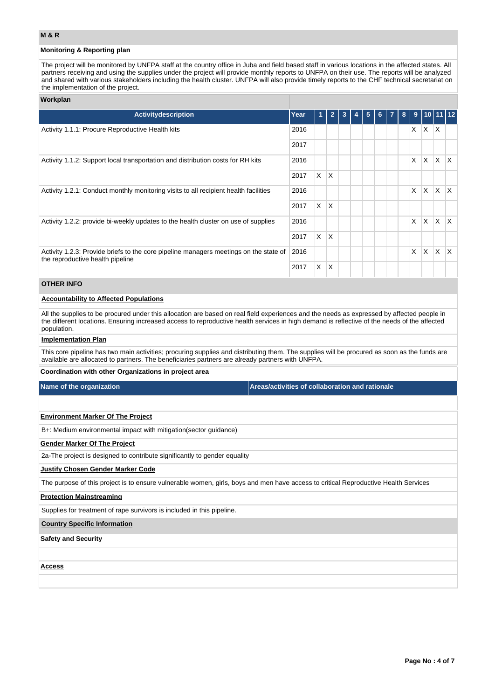## **Monitoring & Reporting plan**

The project will be monitored by UNFPA staff at the country office in Juba and field based staff in various locations in the affected states. All partners receiving and using the supplies under the project will provide monthly reports to UNFPA on their use. The reports will be analyzed and shared with various stakeholders including the health cluster. UNFPA will also provide timely reports to the CHF technical secretariat on the implementation of the project.

### **Workplan**

| Activitydescription                                                                                                       | Year | 1        | $\overline{2}$ | $\overline{3}$ | 4 | 5 <sub>5</sub> | 6 <sup>1</sup> | $\overline{7}$ | 8 | 9        | $\sqrt{10}$ 11 12 |              |              |
|---------------------------------------------------------------------------------------------------------------------------|------|----------|----------------|----------------|---|----------------|----------------|----------------|---|----------|-------------------|--------------|--------------|
| Activity 1.1.1: Procure Reproductive Health kits                                                                          | 2016 |          |                |                |   |                |                |                |   | X        | ΙX.               | $\mathsf{X}$ |              |
|                                                                                                                           | 2017 |          |                |                |   |                |                |                |   |          |                   |              |              |
| Activity 1.1.2: Support local transportation and distribution costs for RH kits                                           | 2016 |          |                |                |   |                |                |                |   | X        | X                 | IX.          | $\mathsf{X}$ |
|                                                                                                                           | 2017 | $\times$ | X              |                |   |                |                |                |   |          |                   |              |              |
| Activity 1.2.1: Conduct monthly monitoring visits to all recipient health facilities                                      | 2016 |          |                |                |   |                |                |                |   | $\times$ | <b>X</b>          | IX.          | $\mathsf{X}$ |
|                                                                                                                           | 2017 | $\times$ | ΙX             |                |   |                |                |                |   |          |                   |              |              |
| Activity 1.2.2: provide bi-weekly updates to the health cluster on use of supplies                                        | 2016 |          |                |                |   |                |                |                |   | X        | X                 | $\mathsf{X}$ | ΙX.          |
|                                                                                                                           | 2017 | X.       | $\overline{X}$ |                |   |                |                |                |   |          |                   |              |              |
| Activity 1.2.3: Provide briefs to the core pipeline managers meetings on the state of<br>the reproductive health pipeline |      |          |                |                |   |                |                |                |   | $\times$ | X                 | <sup>X</sup> | ΙX.          |
|                                                                                                                           | 2017 | X        | X              |                |   |                |                |                |   |          |                   |              |              |

## **OTHER INFO**

### **Accountability to Affected Populations**

All the supplies to be procured under this allocation are based on real field experiences and the needs as expressed by affected people in the different locations. Ensuring increased access to reproductive health services in high demand is reflective of the needs of the affected population.

### **Implementation Plan**

This core pipeline has two main activities; procuring supplies and distributing them. The supplies will be procured as soon as the funds are available are allocated to partners. The beneficiaries partners are already partners with UNFPA.

### **Coordination with other Organizations in project area**

**Name of the organization Areas/activities of collaboration and rationale** 

### **Environment Marker Of The Project**

B+: Medium environmental impact with mitigation(sector guidance)

### **Gender Marker Of The Project**

2a-The project is designed to contribute significantly to gender equality

### **Justify Chosen Gender Marker Code**

The purpose of this project is to ensure vulnerable women, girls, boys and men have access to critical Reproductive Health Services

### **Protection Mainstreaming**

Supplies for treatment of rape survivors is included in this pipeline.

#### **Country Specific Information**

**Safety and Security** 

**Access**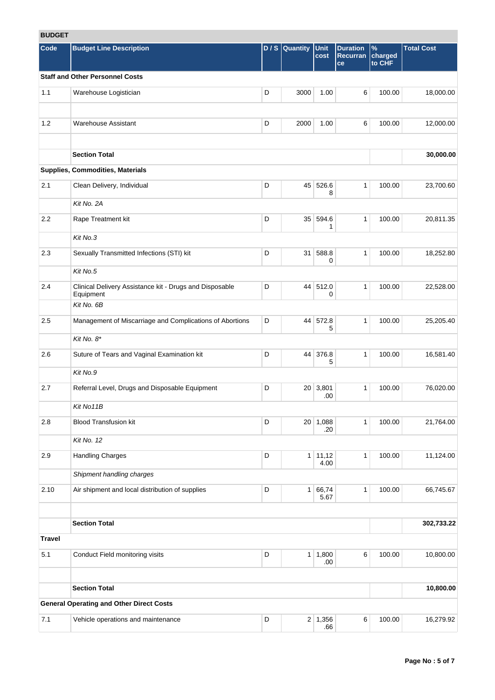# **BUDGET**

| <b>DUDGEI</b> |                                                                      |   |                |                   |                                   |                           |                   |
|---------------|----------------------------------------------------------------------|---|----------------|-------------------|-----------------------------------|---------------------------|-------------------|
| <b>Code</b>   | <b>Budget Line Description</b>                                       |   | $D/S$ Quantity | Unit<br>cost      | <b>Duration</b><br>Recurran<br>ce | $\%$<br>charged<br>to CHF | <b>Total Cost</b> |
|               | <b>Staff and Other Personnel Costs</b>                               |   |                |                   |                                   |                           |                   |
| 1.1           | Warehouse Logistician                                                | D | 3000           | 1.00              | 6                                 | 100.00                    | 18,000.00         |
| 1.2           | <b>Warehouse Assistant</b>                                           | D | 2000           | 1.00              | 6                                 | 100.00                    | 12,000.00         |
|               | <b>Section Total</b>                                                 |   |                |                   |                                   |                           | 30,000.00         |
|               | Supplies, Commodities, Materials                                     |   |                |                   |                                   |                           |                   |
| 2.1           | Clean Delivery, Individual                                           | D |                | 45 526.6<br>8     | $\mathbf{1}$                      | 100.00                    | 23,700.60         |
|               | Kit No. 2A                                                           |   |                |                   |                                   |                           |                   |
| 2.2           | Rape Treatment kit                                                   | D |                | 35 594.6<br>1     | $\mathbf{1}$                      | 100.00                    | 20,811.35         |
|               | Kit No.3                                                             |   |                |                   |                                   |                           |                   |
| 2.3           | Sexually Transmitted Infections (STI) kit                            | D | 31             | 588.8<br>0        | $\mathbf{1}$                      | 100.00                    | 18,252.80         |
|               | Kit No.5                                                             |   |                |                   |                                   |                           |                   |
| 2.4           | Clinical Delivery Assistance kit - Drugs and Disposable<br>Equipment | D |                | 44 512.0<br>0     | $\mathbf{1}$                      | 100.00                    | 22,528.00         |
|               | Kit No. 6B                                                           |   |                |                   |                                   |                           |                   |
| 2.5           | Management of Miscarriage and Complications of Abortions             | D |                | 44 572.8<br>5     | $\mathbf{1}$                      | 100.00                    | 25,205.40         |
|               | Kit No. 8*                                                           |   |                |                   |                                   |                           |                   |
| 2.6           | Suture of Tears and Vaginal Examination kit                          | D |                | 44 376.8<br>5     | $\mathbf{1}$                      | 100.00                    | 16,581.40         |
|               | Kit No.9                                                             |   |                |                   |                                   |                           |                   |
| 2.7           | Referral Level, Drugs and Disposable Equipment                       | D |                | 20 3,801<br>.00   | $\mathbf{1}$                      | 100.00                    | 76,020.00         |
|               | Kit No11B                                                            |   |                |                   |                                   |                           |                   |
| 2.8           | <b>Blood Transfusion kit</b>                                         | D |                | 20 1,088<br>.20   | 1                                 | 100.00                    | 21,764.00         |
|               | Kit No. 12                                                           |   |                |                   |                                   |                           |                   |
| 2.9           | <b>Handling Charges</b>                                              | D |                | 1   11,12<br>4.00 | $\mathbf{1}$                      | 100.00                    | 11,124.00         |
|               | Shipment handling charges                                            |   |                |                   |                                   |                           |                   |
| 2.10          | Air shipment and local distribution of supplies                      | D | 1              | 66,74<br>5.67     | $\mathbf{1}$                      | 100.00                    | 66,745.67         |
|               | <b>Section Total</b>                                                 |   |                |                   |                                   |                           | 302,733.22        |
| <b>Travel</b> |                                                                      |   |                |                   |                                   |                           |                   |
| 5.1           | Conduct Field monitoring visits                                      | D | 1              | 1,800<br>.00      | 6                                 | 100.00                    | 10,800.00         |
|               |                                                                      |   |                |                   |                                   |                           |                   |
|               | <b>Section Total</b>                                                 |   |                |                   |                                   |                           | 10,800.00         |
|               | <b>General Operating and Other Direct Costs</b>                      |   |                |                   |                                   |                           |                   |
| 7.1           | Vehicle operations and maintenance                                   | D |                | 2 1,356<br>.66    | 6                                 | 100.00                    | 16,279.92         |